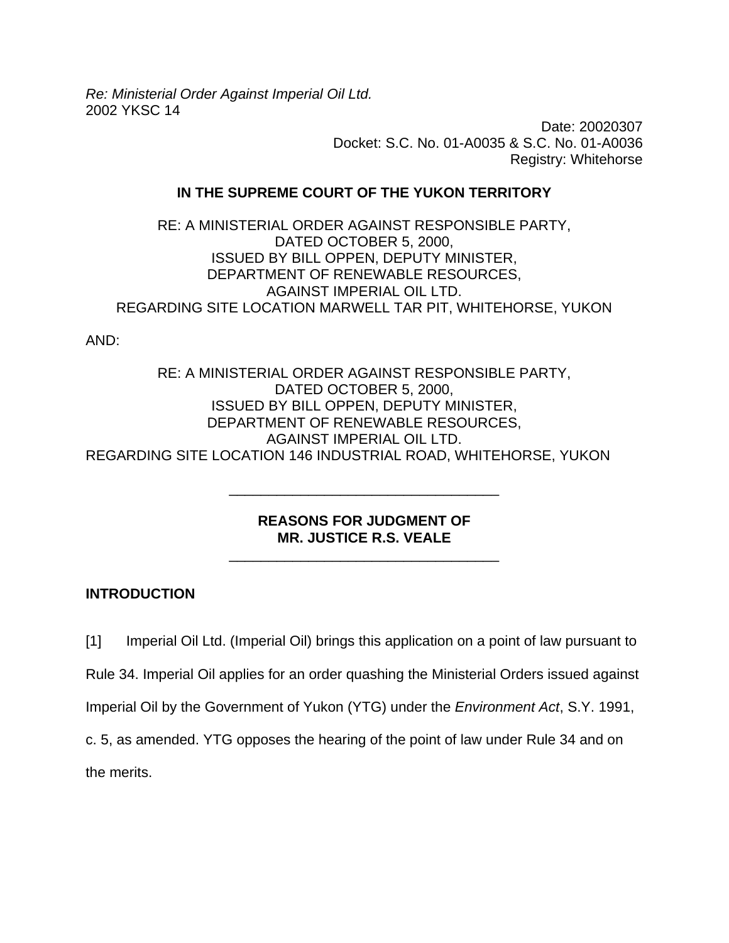*Re: Ministerial Order Against Imperial Oil Ltd.*  2002 YKSC 14

> Date: 20020307 Docket: S.C. No. 01-A0035 & S.C. No. 01-A0036 Registry: Whitehorse

### **IN THE SUPREME COURT OF THE YUKON TERRITORY**

RE: A MINISTERIAL ORDER AGAINST RESPONSIBLE PARTY, DATED OCTOBER 5, 2000, ISSUED BY BILL OPPEN, DEPUTY MINISTER, DEPARTMENT OF RENEWABLE RESOURCES, AGAINST IMPERIAL OIL LTD. REGARDING SITE LOCATION MARWELL TAR PIT, WHITEHORSE, YUKON

AND:

RE: A MINISTERIAL ORDER AGAINST RESPONSIBLE PARTY, DATED OCTOBER 5, 2000, ISSUED BY BILL OPPEN, DEPUTY MINISTER, DEPARTMENT OF RENEWABLE RESOURCES, AGAINST IMPERIAL OIL LTD. REGARDING SITE LOCATION 146 INDUSTRIAL ROAD, WHITEHORSE, YUKON

## **REASONS FOR JUDGMENT OF MR. JUSTICE R.S. VEALE**

\_\_\_\_\_\_\_\_\_\_\_\_\_\_\_\_\_\_\_\_\_\_\_\_\_\_\_\_\_\_\_\_\_\_

\_\_\_\_\_\_\_\_\_\_\_\_\_\_\_\_\_\_\_\_\_\_\_\_\_\_\_\_\_\_\_\_\_\_

# **INTRODUCTION**

[1] Imperial Oil Ltd. (Imperial Oil) brings this application on a point of law pursuant to Rule 34. Imperial Oil applies for an order quashing the Ministerial Orders issued against Imperial Oil by the Government of Yukon (YTG) under the *Environment Act*, S.Y. 1991, c. 5, as amended. YTG opposes the hearing of the point of law under Rule 34 and on the merits.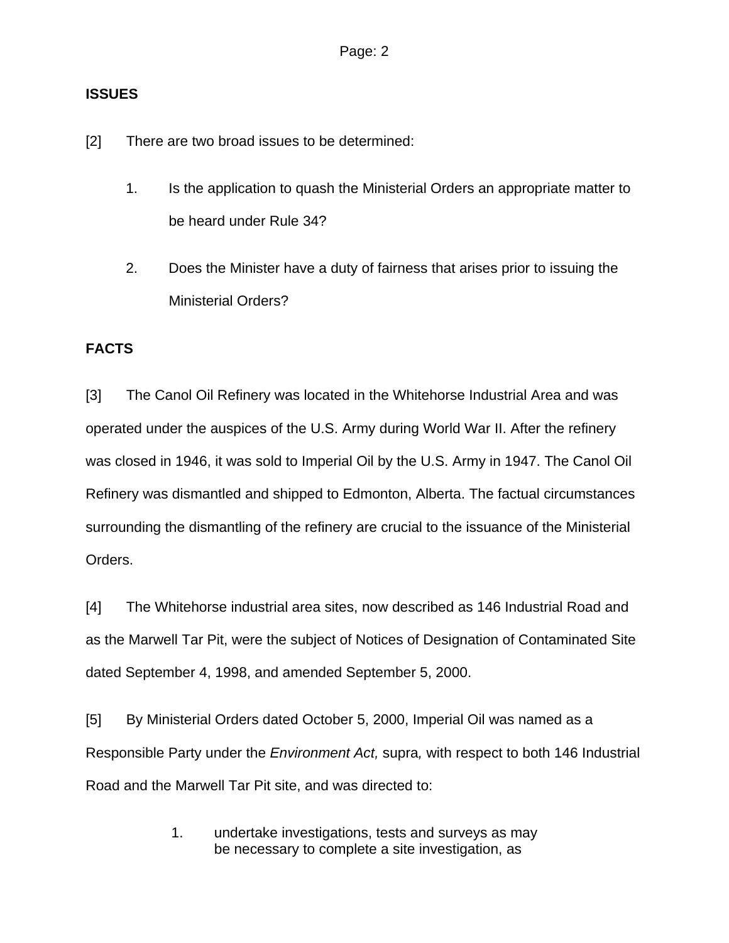## **ISSUES**

[2] There are two broad issues to be determined:

- 1. Is the application to quash the Ministerial Orders an appropriate matter to be heard under Rule 34?
- 2. Does the Minister have a duty of fairness that arises prior to issuing the Ministerial Orders?

# **FACTS**

[3] The Canol Oil Refinery was located in the Whitehorse Industrial Area and was operated under the auspices of the U.S. Army during World War II. After the refinery was closed in 1946, it was sold to Imperial Oil by the U.S. Army in 1947. The Canol Oil Refinery was dismantled and shipped to Edmonton, Alberta. The factual circumstances surrounding the dismantling of the refinery are crucial to the issuance of the Ministerial Orders.

[4] The Whitehorse industrial area sites, now described as 146 Industrial Road and as the Marwell Tar Pit, were the subject of Notices of Designation of Contaminated Site dated September 4, 1998, and amended September 5, 2000.

[5] By Ministerial Orders dated October 5, 2000, Imperial Oil was named as a Responsible Party under the *Environment Act,* supra*,* with respect to both 146 Industrial Road and the Marwell Tar Pit site, and was directed to:

> 1. undertake investigations, tests and surveys as may be necessary to complete a site investigation, as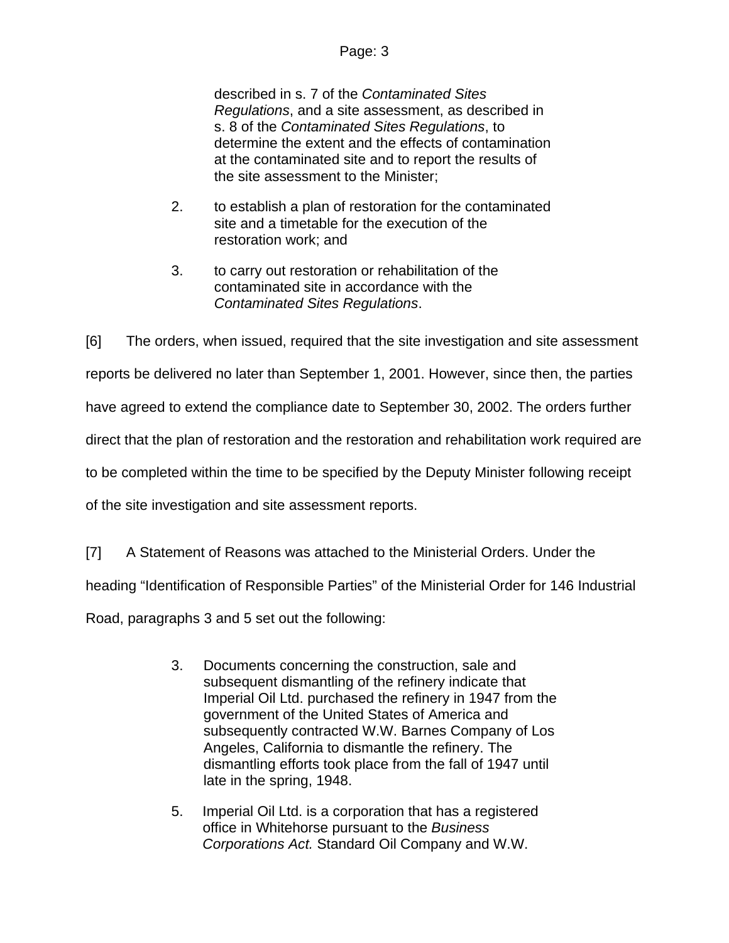described in s. 7 of the *Contaminated Sites Regulations*, and a site assessment, as described in s. 8 of the *Contaminated Sites Regulations*, to determine the extent and the effects of contamination at the contaminated site and to report the results of the site assessment to the Minister;

- 2. to establish a plan of restoration for the contaminated site and a timetable for the execution of the restoration work; and
- 3. to carry out restoration or rehabilitation of the contaminated site in accordance with the *Contaminated Sites Regulations*.

[6] The orders, when issued, required that the site investigation and site assessment reports be delivered no later than September 1, 2001. However, since then, the parties have agreed to extend the compliance date to September 30, 2002. The orders further direct that the plan of restoration and the restoration and rehabilitation work required are to be completed within the time to be specified by the Deputy Minister following receipt of the site investigation and site assessment reports.

[7] A Statement of Reasons was attached to the Ministerial Orders. Under the

heading "Identification of Responsible Parties" of the Ministerial Order for 146 Industrial

Road, paragraphs 3 and 5 set out the following:

- 3. Documents concerning the construction, sale and subsequent dismantling of the refinery indicate that Imperial Oil Ltd. purchased the refinery in 1947 from the government of the United States of America and subsequently contracted W.W. Barnes Company of Los Angeles, California to dismantle the refinery. The dismantling efforts took place from the fall of 1947 until late in the spring, 1948.
- 5. Imperial Oil Ltd. is a corporation that has a registered office in Whitehorse pursuant to the *Business Corporations Act.* Standard Oil Company and W.W.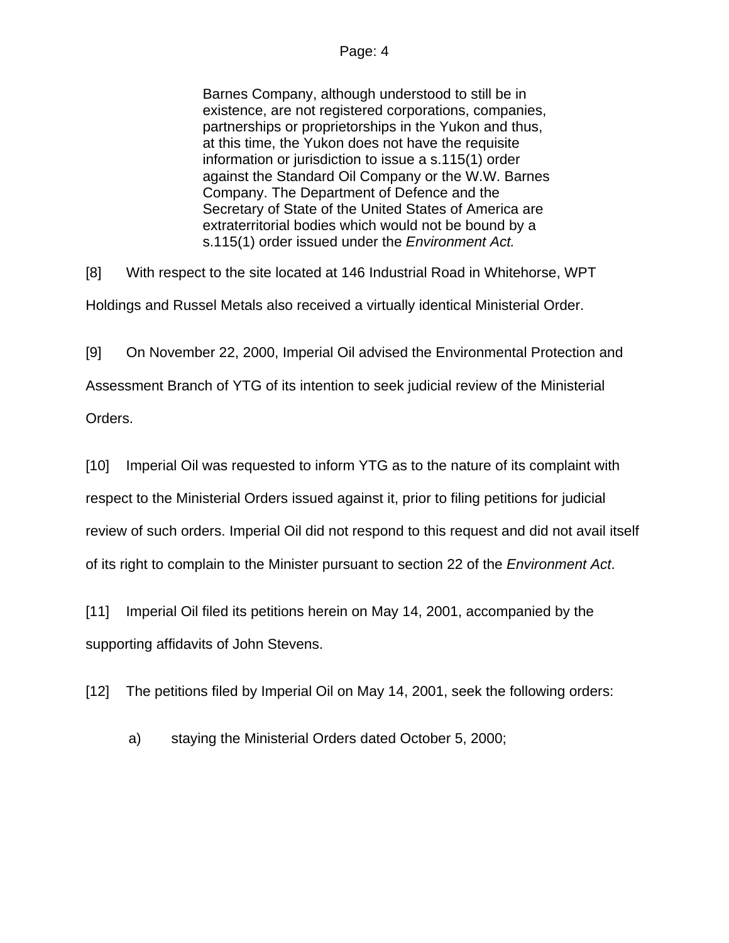Barnes Company, although understood to still be in existence, are not registered corporations, companies, partnerships or proprietorships in the Yukon and thus, at this time, the Yukon does not have the requisite information or jurisdiction to issue a s.115(1) order against the Standard Oil Company or the W.W. Barnes Company. The Department of Defence and the Secretary of State of the United States of America are extraterritorial bodies which would not be bound by a s.115(1) order issued under the *Environment Act.*

[8] With respect to the site located at 146 Industrial Road in Whitehorse, WPT

Holdings and Russel Metals also received a virtually identical Ministerial Order.

[9] On November 22, 2000, Imperial Oil advised the Environmental Protection and Assessment Branch of YTG of its intention to seek judicial review of the Ministerial Orders.

[10] Imperial Oil was requested to inform YTG as to the nature of its complaint with respect to the Ministerial Orders issued against it, prior to filing petitions for judicial review of such orders. Imperial Oil did not respond to this request and did not avail itself of its right to complain to the Minister pursuant to section 22 of the *Environment Act*.

[11] Imperial Oil filed its petitions herein on May 14, 2001, accompanied by the supporting affidavits of John Stevens.

[12] The petitions filed by Imperial Oil on May 14, 2001, seek the following orders:

a) staying the Ministerial Orders dated October 5, 2000;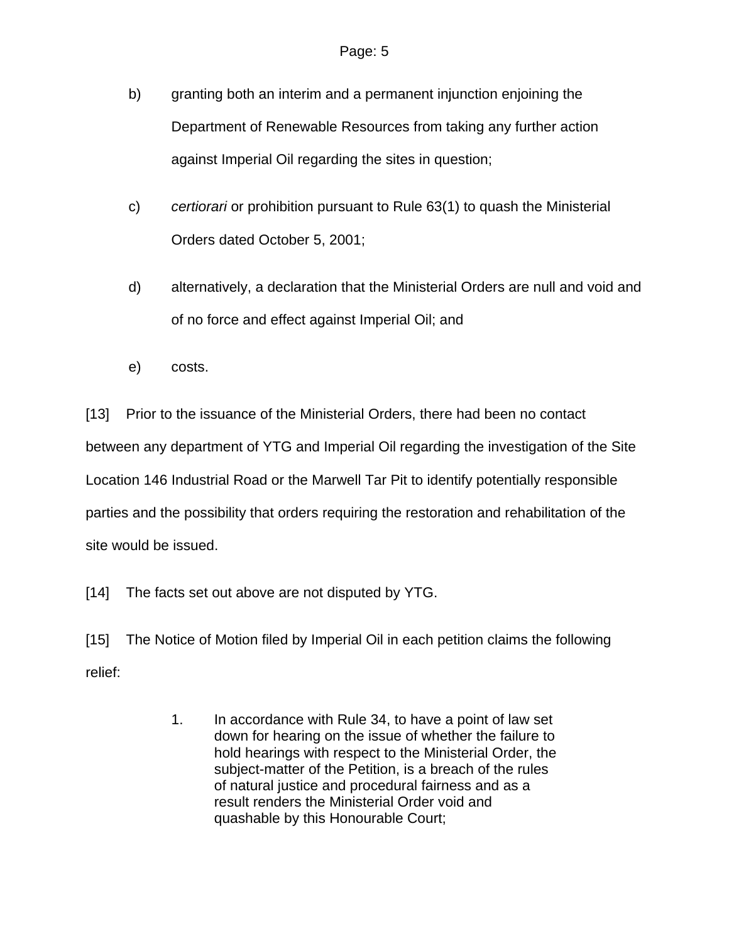- b) granting both an interim and a permanent injunction enjoining the Department of Renewable Resources from taking any further action against Imperial Oil regarding the sites in question;
- c) *certiorari* or prohibition pursuant to Rule 63(1) to quash the Ministerial Orders dated October 5, 2001;
- d) alternatively, a declaration that the Ministerial Orders are null and void and of no force and effect against Imperial Oil; and
- e) costs.

[13] Prior to the issuance of the Ministerial Orders, there had been no contact between any department of YTG and Imperial Oil regarding the investigation of the Site Location 146 Industrial Road or the Marwell Tar Pit to identify potentially responsible parties and the possibility that orders requiring the restoration and rehabilitation of the site would be issued.

[14] The facts set out above are not disputed by YTG.

[15] The Notice of Motion filed by Imperial Oil in each petition claims the following relief:

> 1. In accordance with Rule 34, to have a point of law set down for hearing on the issue of whether the failure to hold hearings with respect to the Ministerial Order, the subject-matter of the Petition, is a breach of the rules of natural justice and procedural fairness and as a result renders the Ministerial Order void and quashable by this Honourable Court;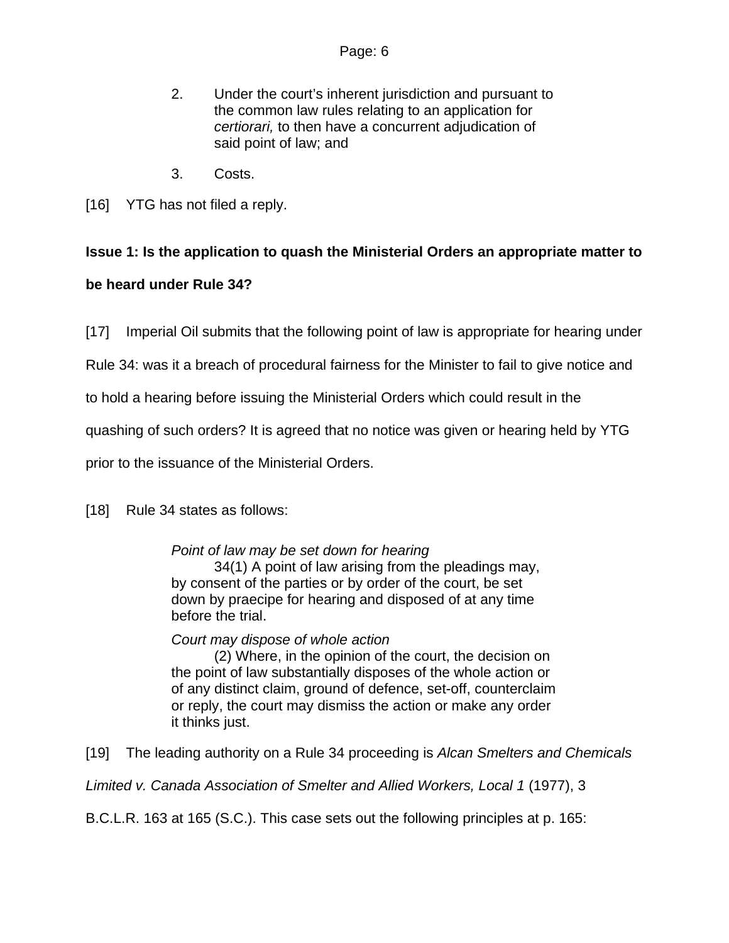- 2. Under the court's inherent jurisdiction and pursuant to the common law rules relating to an application for *certiorari,* to then have a concurrent adjudication of said point of law; and
- 3. Costs.
- [16] YTG has not filed a reply.

# **Issue 1: Is the application to quash the Ministerial Orders an appropriate matter to**

# **be heard under Rule 34?**

[17] Imperial Oil submits that the following point of law is appropriate for hearing under

Rule 34: was it a breach of procedural fairness for the Minister to fail to give notice and

to hold a hearing before issuing the Ministerial Orders which could result in the

quashing of such orders? It is agreed that no notice was given or hearing held by YTG

prior to the issuance of the Ministerial Orders.

[18] Rule 34 states as follows:

*Point of law may be set down for hearing* 

 34(1) A point of law arising from the pleadings may, by consent of the parties or by order of the court, be set down by praecipe for hearing and disposed of at any time before the trial.

*Court may dispose of whole action* 

 (2) Where, in the opinion of the court, the decision on the point of law substantially disposes of the whole action or of any distinct claim, ground of defence, set-off, counterclaim or reply, the court may dismiss the action or make any order it thinks just.

[19] The leading authority on a Rule 34 proceeding is *Alcan Smelters and Chemicals* 

*Limited v. Canada Association of Smelter and Allied Workers, Local 1* (1977), 3

B.C.L.R. 163 at 165 (S.C.). This case sets out the following principles at p. 165: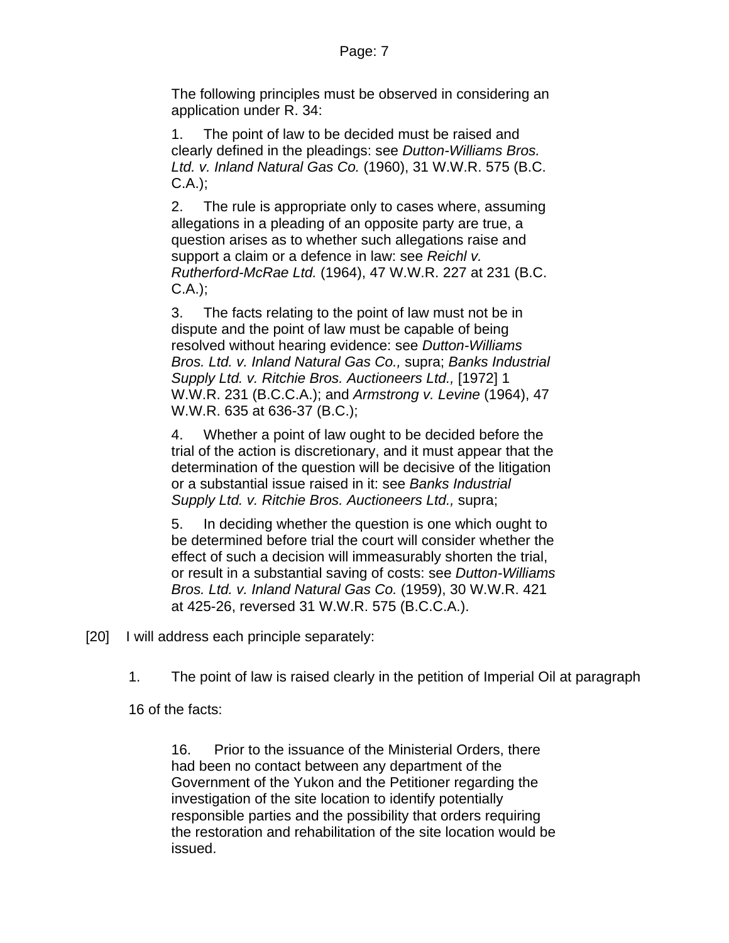The following principles must be observed in considering an application under R. 34:

1. The point of law to be decided must be raised and clearly defined in the pleadings: see *Dutton-Williams Bros. Ltd. v. Inland Natural Gas Co.* (1960), 31 W.W.R. 575 (B.C. C.A.);

2. The rule is appropriate only to cases where, assuming allegations in a pleading of an opposite party are true, a question arises as to whether such allegations raise and support a claim or a defence in law: see *Reichl v. Rutherford-McRae Ltd.* (1964), 47 W.W.R. 227 at 231 (B.C. C.A.);

3. The facts relating to the point of law must not be in dispute and the point of law must be capable of being resolved without hearing evidence: see *Dutton-Williams Bros. Ltd. v. Inland Natural Gas Co.,* supra; *Banks Industrial Supply Ltd. v. Ritchie Bros. Auctioneers Ltd.,* [1972] 1 W.W.R. 231 (B.C.C.A.); and *Armstrong v. Levine* (1964), 47 W.W.R. 635 at 636-37 (B.C.);

4. Whether a point of law ought to be decided before the trial of the action is discretionary, and it must appear that the determination of the question will be decisive of the litigation or a substantial issue raised in it: see *Banks Industrial Supply Ltd. v. Ritchie Bros. Auctioneers Ltd.,* supra;

5. In deciding whether the question is one which ought to be determined before trial the court will consider whether the effect of such a decision will immeasurably shorten the trial, or result in a substantial saving of costs: see *Dutton-Williams Bros. Ltd. v. Inland Natural Gas Co.* (1959), 30 W.W.R. 421 at 425-26, reversed 31 W.W.R. 575 (B.C.C.A.).

[20] I will address each principle separately:

1. The point of law is raised clearly in the petition of Imperial Oil at paragraph

16 of the facts:

16. Prior to the issuance of the Ministerial Orders, there had been no contact between any department of the Government of the Yukon and the Petitioner regarding the investigation of the site location to identify potentially responsible parties and the possibility that orders requiring the restoration and rehabilitation of the site location would be issued.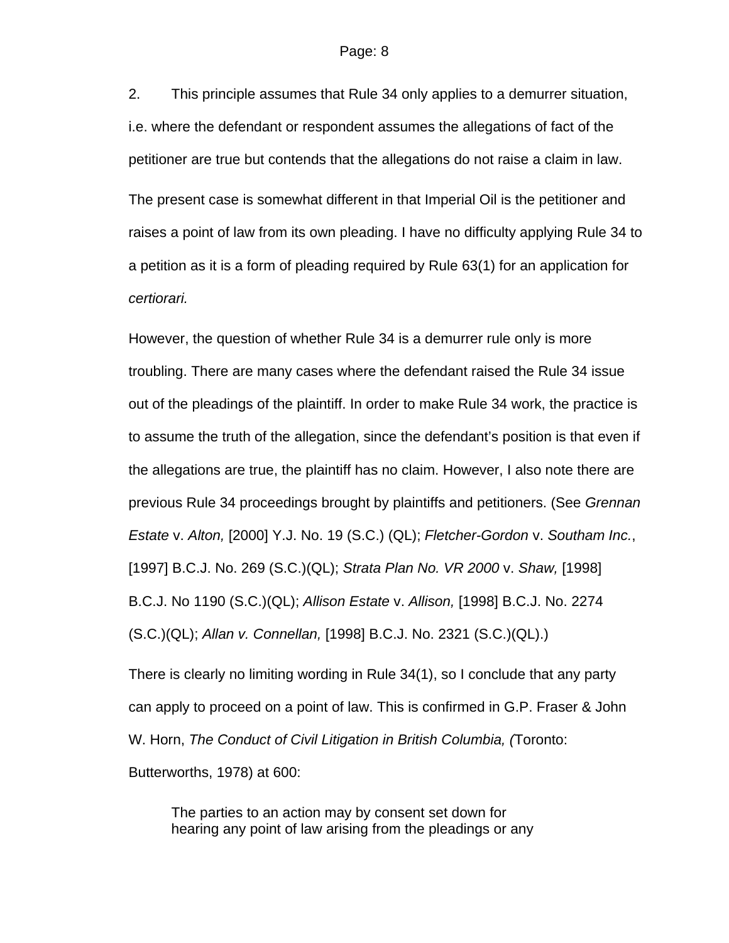2. This principle assumes that Rule 34 only applies to a demurrer situation, i.e. where the defendant or respondent assumes the allegations of fact of the petitioner are true but contends that the allegations do not raise a claim in law.

The present case is somewhat different in that Imperial Oil is the petitioner and raises a point of law from its own pleading. I have no difficulty applying Rule 34 to a petition as it is a form of pleading required by Rule 63(1) for an application for *certiorari.*

However, the question of whether Rule 34 is a demurrer rule only is more troubling. There are many cases where the defendant raised the Rule 34 issue out of the pleadings of the plaintiff. In order to make Rule 34 work, the practice is to assume the truth of the allegation, since the defendant's position is that even if the allegations are true, the plaintiff has no claim. However, I also note there are previous Rule 34 proceedings brought by plaintiffs and petitioners. (See *Grennan Estate* v. *Alton,* [2000] Y.J. No. 19 (S.C.) (QL); *Fletcher-Gordon* v. *Southam Inc.*, [1997] B.C.J. No. 269 (S.C.)(QL); *Strata Plan No. VR 2000* v. *Shaw,* [1998] B.C.J. No 1190 (S.C.)(QL); *Allison Estate* v. *Allison,* [1998] B.C.J. No. 2274 (S.C.)(QL); *Allan v. Connellan,* [1998] B.C.J. No. 2321 (S.C.)(QL).)

There is clearly no limiting wording in Rule 34(1), so I conclude that any party can apply to proceed on a point of law. This is confirmed in G.P. Fraser & John W. Horn, *The Conduct of Civil Litigation in British Columbia, (*Toronto: Butterworths, 1978) at 600:

The parties to an action may by consent set down for hearing any point of law arising from the pleadings or any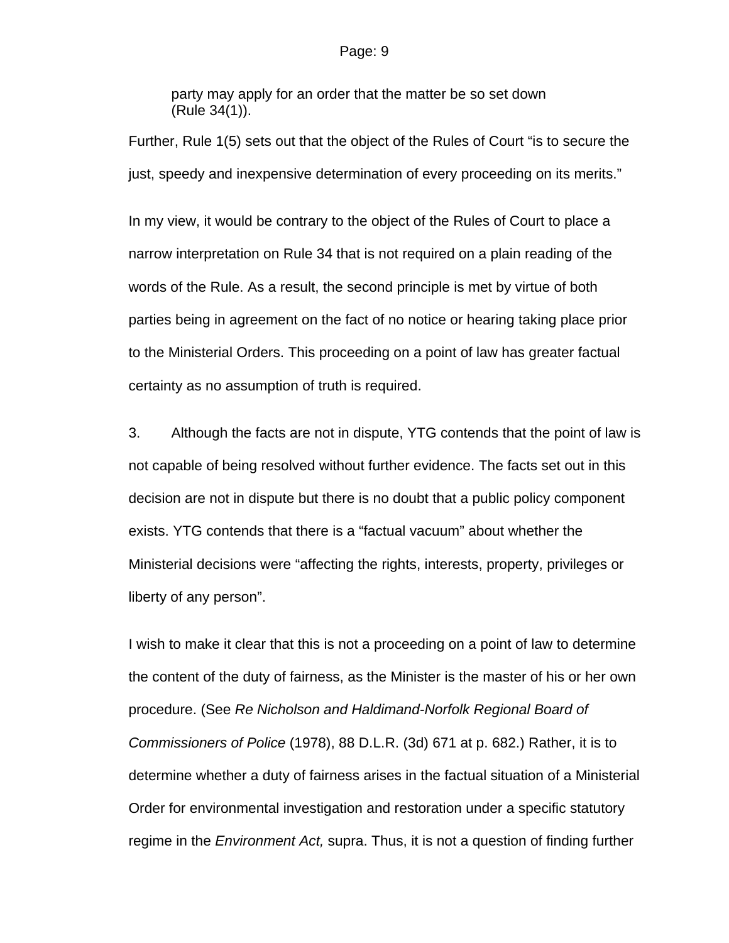party may apply for an order that the matter be so set down (Rule 34(1)).

Further, Rule 1(5) sets out that the object of the Rules of Court "is to secure the just, speedy and inexpensive determination of every proceeding on its merits."

In my view, it would be contrary to the object of the Rules of Court to place a narrow interpretation on Rule 34 that is not required on a plain reading of the words of the Rule. As a result, the second principle is met by virtue of both parties being in agreement on the fact of no notice or hearing taking place prior to the Ministerial Orders. This proceeding on a point of law has greater factual certainty as no assumption of truth is required.

3. Although the facts are not in dispute, YTG contends that the point of law is not capable of being resolved without further evidence. The facts set out in this decision are not in dispute but there is no doubt that a public policy component exists. YTG contends that there is a "factual vacuum" about whether the Ministerial decisions were "affecting the rights, interests, property, privileges or liberty of any person".

I wish to make it clear that this is not a proceeding on a point of law to determine the content of the duty of fairness, as the Minister is the master of his or her own procedure. (See *Re Nicholson and Haldimand-Norfolk Regional Board of Commissioners of Police* (1978), 88 D.L.R. (3d) 671 at p. 682.) Rather, it is to determine whether a duty of fairness arises in the factual situation of a Ministerial Order for environmental investigation and restoration under a specific statutory regime in the *Environment Act,* supra. Thus, it is not a question of finding further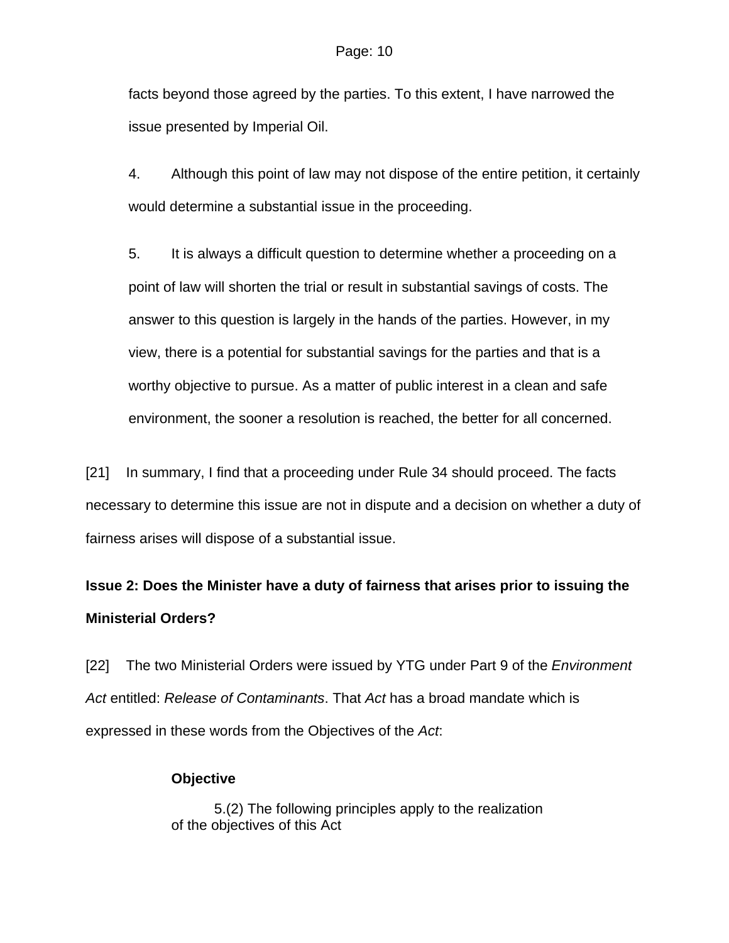facts beyond those agreed by the parties. To this extent, I have narrowed the issue presented by Imperial Oil.

4. Although this point of law may not dispose of the entire petition, it certainly would determine a substantial issue in the proceeding.

5. It is always a difficult question to determine whether a proceeding on a point of law will shorten the trial or result in substantial savings of costs. The answer to this question is largely in the hands of the parties. However, in my view, there is a potential for substantial savings for the parties and that is a worthy objective to pursue. As a matter of public interest in a clean and safe environment, the sooner a resolution is reached, the better for all concerned.

[21] In summary, I find that a proceeding under Rule 34 should proceed. The facts necessary to determine this issue are not in dispute and a decision on whether a duty of fairness arises will dispose of a substantial issue.

# **Issue 2: Does the Minister have a duty of fairness that arises prior to issuing the Ministerial Orders?**

[22] The two Ministerial Orders were issued by YTG under Part 9 of the *Environment Act* entitled: *Release of Contaminants*. That *Act* has a broad mandate which is expressed in these words from the Objectives of the *Act*:

# **Objective**

5.(2) The following principles apply to the realization of the objectives of this Act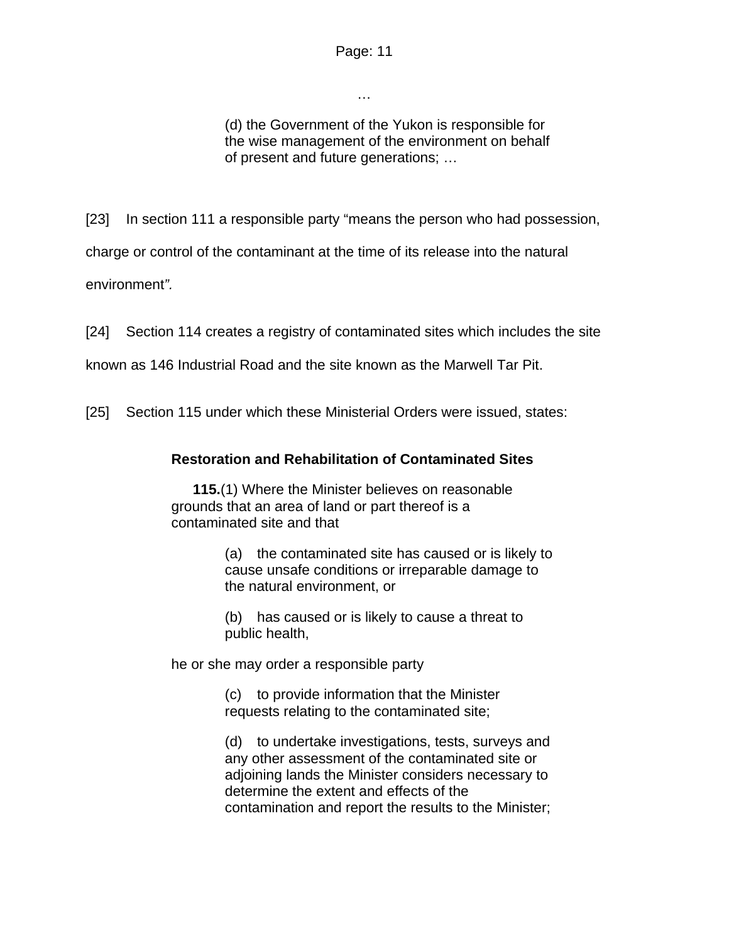…

(d) the Government of the Yukon is responsible for the wise management of the environment on behalf of present and future generations; …

[23] In section 111 a responsible party "means the person who had possession,

charge or control of the contaminant at the time of its release into the natural

environment*".*

[24] Section 114 creates a registry of contaminated sites which includes the site

known as 146 Industrial Road and the site known as the Marwell Tar Pit.

[25] Section 115 under which these Ministerial Orders were issued, states:

## **Restoration and Rehabilitation of Contaminated Sites**

**115.**(1) Where the Minister believes on reasonable grounds that an area of land or part thereof is a contaminated site and that

> (a) the contaminated site has caused or is likely to cause unsafe conditions or irreparable damage to the natural environment, or

(b) has caused or is likely to cause a threat to public health,

he or she may order a responsible party

(c) to provide information that the Minister requests relating to the contaminated site;

(d) to undertake investigations, tests, surveys and any other assessment of the contaminated site or adjoining lands the Minister considers necessary to determine the extent and effects of the contamination and report the results to the Minister;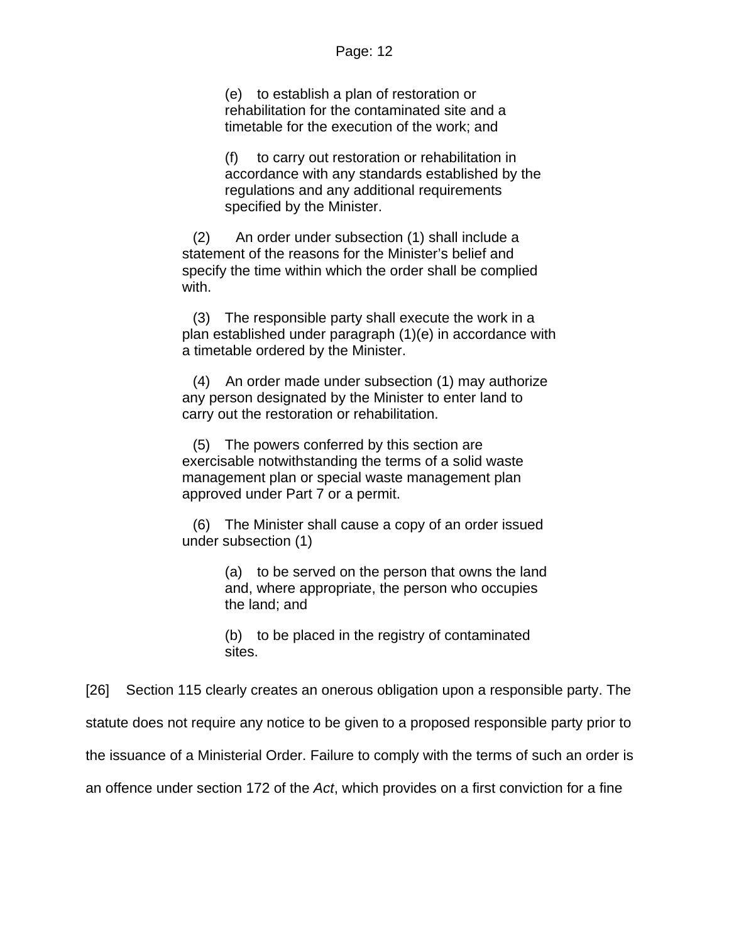(e) to establish a plan of restoration or rehabilitation for the contaminated site and a timetable for the execution of the work; and

(f) to carry out restoration or rehabilitation in accordance with any standards established by the regulations and any additional requirements specified by the Minister.

(2) An order under subsection (1) shall include a statement of the reasons for the Minister's belief and specify the time within which the order shall be complied with.

(3) The responsible party shall execute the work in a plan established under paragraph (1)(e) in accordance with a timetable ordered by the Minister.

(4) An order made under subsection (1) may authorize any person designated by the Minister to enter land to carry out the restoration or rehabilitation.

(5) The powers conferred by this section are exercisable notwithstanding the terms of a solid waste management plan or special waste management plan approved under Part 7 or a permit.

(6) The Minister shall cause a copy of an order issued under subsection (1)

> (a) to be served on the person that owns the land and, where appropriate, the person who occupies the land; and

(b) to be placed in the registry of contaminated sites.

[26] Section 115 clearly creates an onerous obligation upon a responsible party. The statute does not require any notice to be given to a proposed responsible party prior to the issuance of a Ministerial Order. Failure to comply with the terms of such an order is an offence under section 172 of the *Act*, which provides on a first conviction for a fine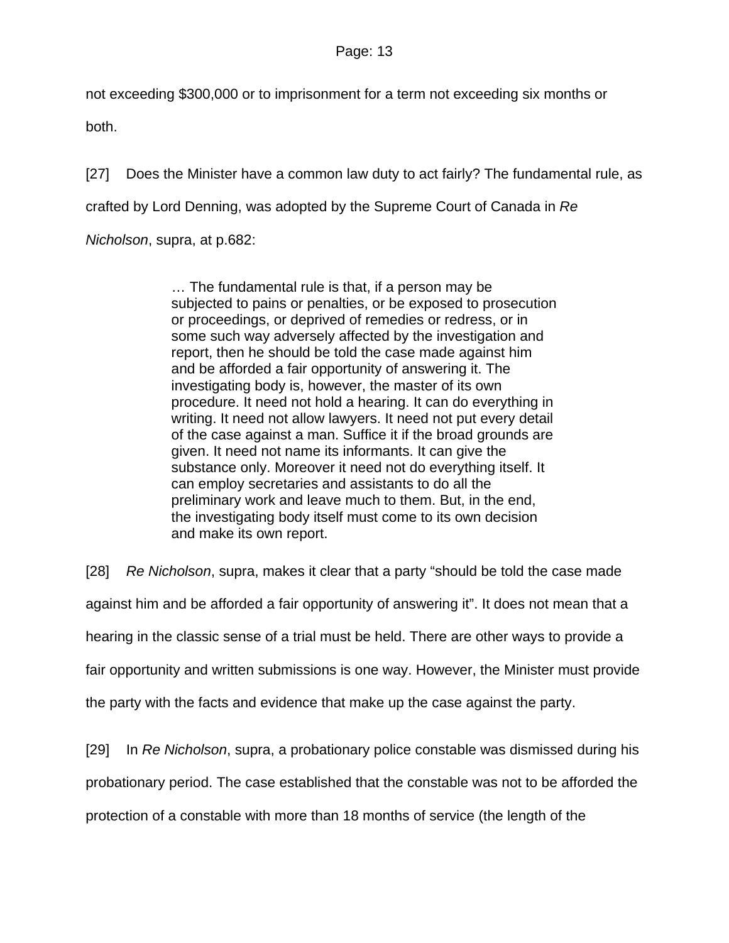not exceeding \$300,000 or to imprisonment for a term not exceeding six months or both.

[27] Does the Minister have a common law duty to act fairly? The fundamental rule, as crafted by Lord Denning, was adopted by the Supreme Court of Canada in *Re Nicholson*, supra, at p.682:

> … The fundamental rule is that, if a person may be subjected to pains or penalties, or be exposed to prosecution or proceedings, or deprived of remedies or redress, or in some such way adversely affected by the investigation and report, then he should be told the case made against him and be afforded a fair opportunity of answering it. The investigating body is, however, the master of its own procedure. It need not hold a hearing. It can do everything in writing. It need not allow lawyers. It need not put every detail of the case against a man. Suffice it if the broad grounds are given. It need not name its informants. It can give the substance only. Moreover it need not do everything itself. It can employ secretaries and assistants to do all the preliminary work and leave much to them. But, in the end, the investigating body itself must come to its own decision and make its own report.

[28] *Re Nicholson*, supra, makes it clear that a party "should be told the case made

against him and be afforded a fair opportunity of answering it". It does not mean that a

hearing in the classic sense of a trial must be held. There are other ways to provide a

fair opportunity and written submissions is one way. However, the Minister must provide

the party with the facts and evidence that make up the case against the party.

[29] In *Re Nicholson*, supra, a probationary police constable was dismissed during his probationary period. The case established that the constable was not to be afforded the protection of a constable with more than 18 months of service (the length of the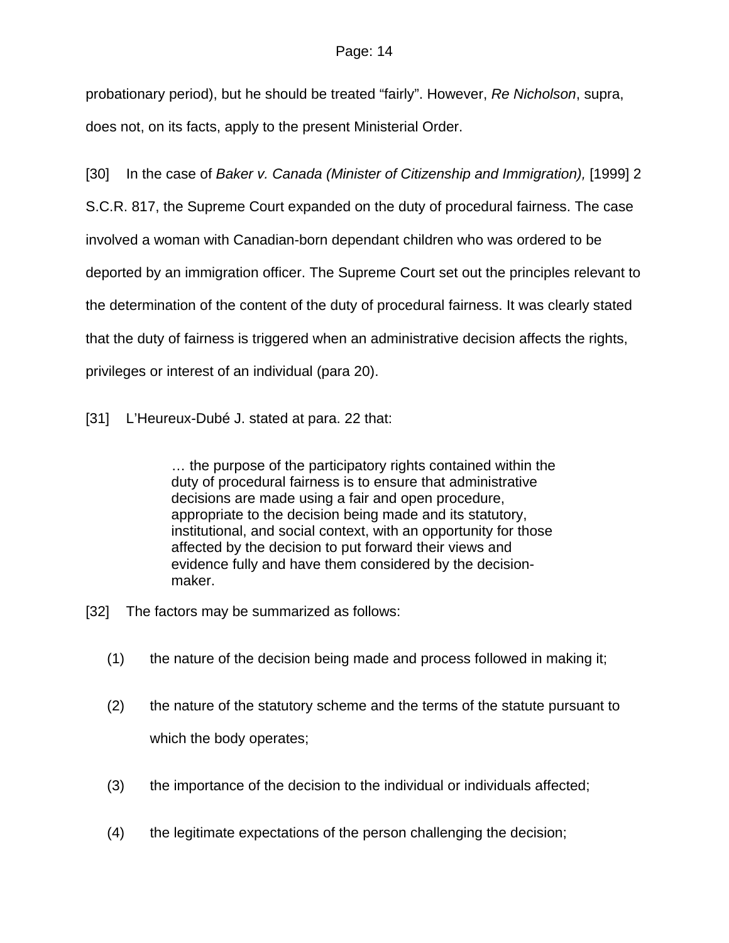probationary period), but he should be treated "fairly". However, *Re Nicholson*, supra, does not, on its facts, apply to the present Ministerial Order.

[30] In the case of *Baker v. Canada (Minister of Citizenship and Immigration),* [1999] 2 S.C.R. 817, the Supreme Court expanded on the duty of procedural fairness. The case involved a woman with Canadian-born dependant children who was ordered to be deported by an immigration officer. The Supreme Court set out the principles relevant to the determination of the content of the duty of procedural fairness. It was clearly stated that the duty of fairness is triggered when an administrative decision affects the rights, privileges or interest of an individual (para 20).

[31] L'Heureux-Dubé J. stated at para. 22 that:

… the purpose of the participatory rights contained within the duty of procedural fairness is to ensure that administrative decisions are made using a fair and open procedure, appropriate to the decision being made and its statutory, institutional, and social context, with an opportunity for those affected by the decision to put forward their views and evidence fully and have them considered by the decisionmaker.

- [32] The factors may be summarized as follows:
	- (1) the nature of the decision being made and process followed in making it;
	- (2) the nature of the statutory scheme and the terms of the statute pursuant to which the body operates;
	- (3) the importance of the decision to the individual or individuals affected;
	- (4) the legitimate expectations of the person challenging the decision;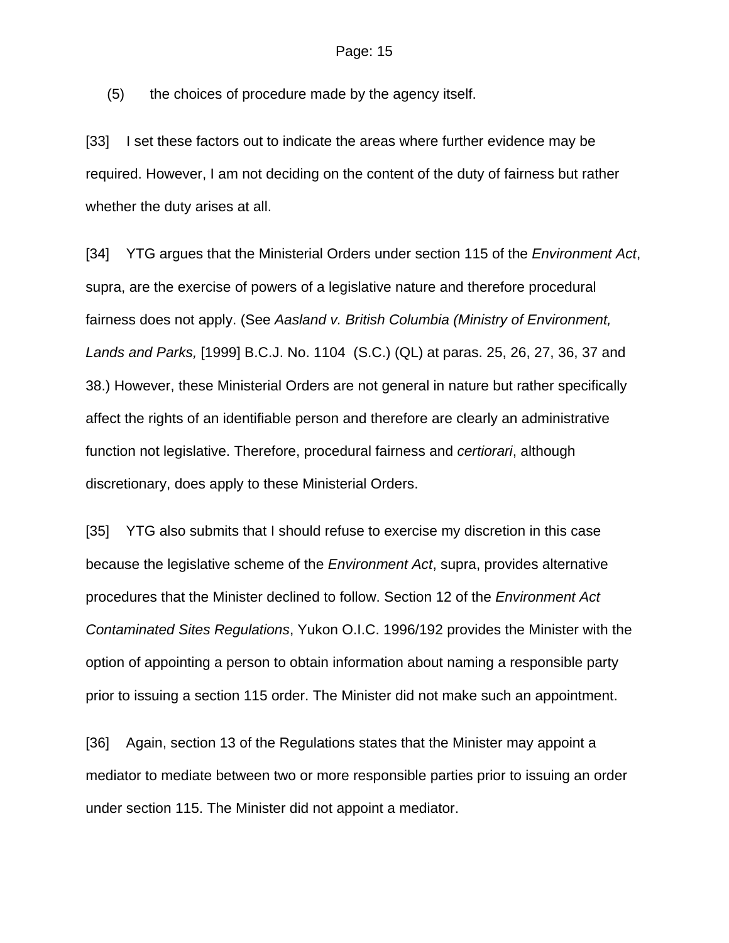(5) the choices of procedure made by the agency itself.

[33] I set these factors out to indicate the areas where further evidence may be required. However, I am not deciding on the content of the duty of fairness but rather whether the duty arises at all.

[34] YTG argues that the Ministerial Orders under section 115 of the *Environment Act*, supra, are the exercise of powers of a legislative nature and therefore procedural fairness does not apply. (See *Aasland v. British Columbia (Ministry of Environment, Lands and Parks,* [1999] B.C.J. No. 1104 (S.C.) (QL) at paras. 25, 26, 27, 36, 37 and 38.) However, these Ministerial Orders are not general in nature but rather specifically affect the rights of an identifiable person and therefore are clearly an administrative function not legislative. Therefore, procedural fairness and *certiorari*, although discretionary, does apply to these Ministerial Orders.

[35] YTG also submits that I should refuse to exercise my discretion in this case because the legislative scheme of the *Environment Act*, supra, provides alternative procedures that the Minister declined to follow. Section 12 of the *Environment Act Contaminated Sites Regulations*, Yukon O.I.C. 1996/192 provides the Minister with the option of appointing a person to obtain information about naming a responsible party prior to issuing a section 115 order. The Minister did not make such an appointment.

[36] Again, section 13 of the Regulations states that the Minister may appoint a mediator to mediate between two or more responsible parties prior to issuing an order under section 115. The Minister did not appoint a mediator.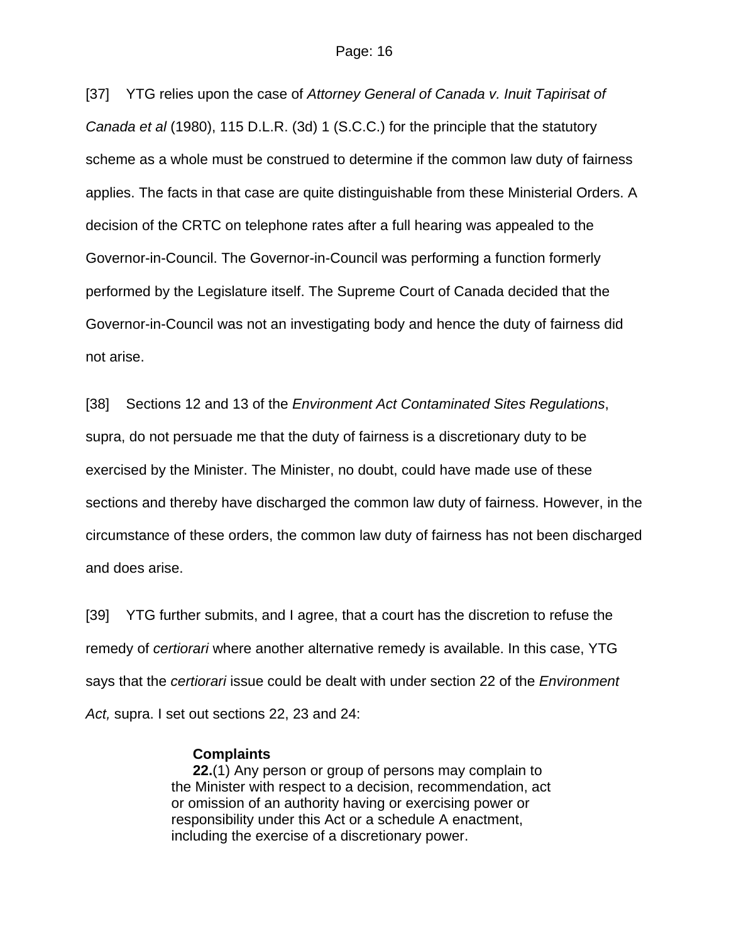[37] YTG relies upon the case of *Attorney General of Canada v. Inuit Tapirisat of Canada et al* (1980), 115 D.L.R. (3d) 1 (S.C.C.) for the principle that the statutory scheme as a whole must be construed to determine if the common law duty of fairness applies. The facts in that case are quite distinguishable from these Ministerial Orders. A decision of the CRTC on telephone rates after a full hearing was appealed to the Governor-in-Council. The Governor-in-Council was performing a function formerly performed by the Legislature itself. The Supreme Court of Canada decided that the Governor-in-Council was not an investigating body and hence the duty of fairness did not arise.

[38] Sections 12 and 13 of the *Environment Act Contaminated Sites Regulations*, supra, do not persuade me that the duty of fairness is a discretionary duty to be exercised by the Minister. The Minister, no doubt, could have made use of these sections and thereby have discharged the common law duty of fairness. However, in the circumstance of these orders, the common law duty of fairness has not been discharged and does arise.

[39] YTG further submits, and I agree, that a court has the discretion to refuse the remedy of *certiorari* where another alternative remedy is available. In this case, YTG says that the *certiorari* issue could be dealt with under section 22 of the *Environment Act,* supra. I set out sections 22, 23 and 24:

### **Complaints**

**22.**(1) Any person or group of persons may complain to the Minister with respect to a decision, recommendation, act or omission of an authority having or exercising power or responsibility under this Act or a schedule A enactment, including the exercise of a discretionary power.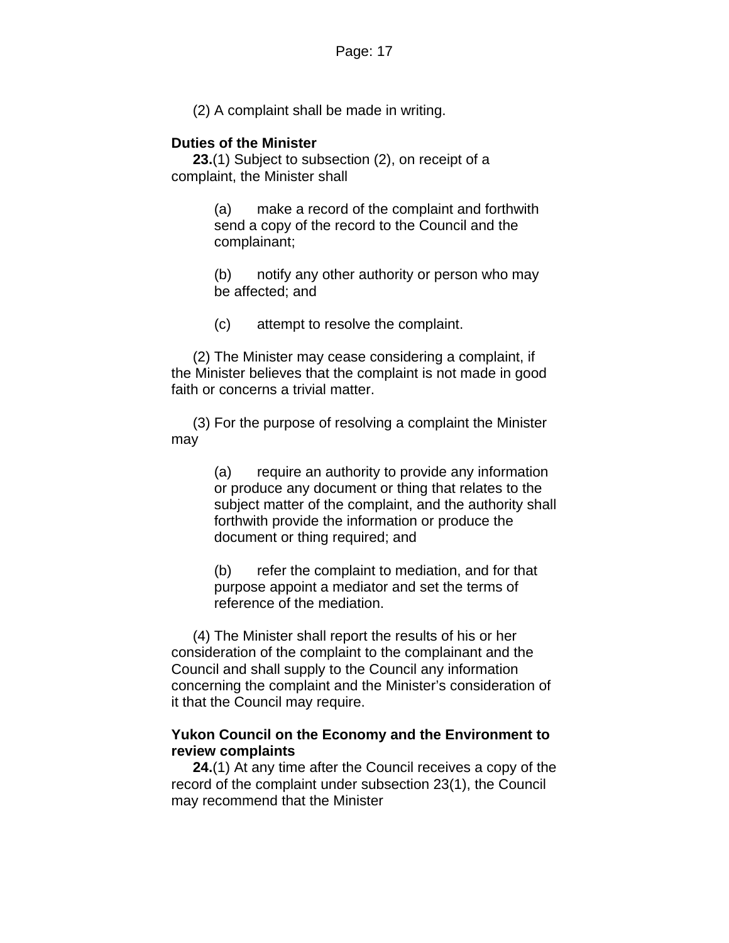(2) A complaint shall be made in writing.

### **Duties of the Minister**

**23.**(1) Subject to subsection (2), on receipt of a complaint, the Minister shall

> (a) make a record of the complaint and forthwith send a copy of the record to the Council and the complainant;

> (b) notify any other authority or person who may be affected; and

(c) attempt to resolve the complaint.

(2) The Minister may cease considering a complaint, if the Minister believes that the complaint is not made in good faith or concerns a trivial matter.

(3) For the purpose of resolving a complaint the Minister may

> (a) require an authority to provide any information or produce any document or thing that relates to the subject matter of the complaint, and the authority shall forthwith provide the information or produce the document or thing required; and

(b) refer the complaint to mediation, and for that purpose appoint a mediator and set the terms of reference of the mediation.

(4) The Minister shall report the results of his or her consideration of the complaint to the complainant and the Council and shall supply to the Council any information concerning the complaint and the Minister's consideration of it that the Council may require.

### **Yukon Council on the Economy and the Environment to review complaints**

**24.**(1) At any time after the Council receives a copy of the record of the complaint under subsection 23(1), the Council may recommend that the Minister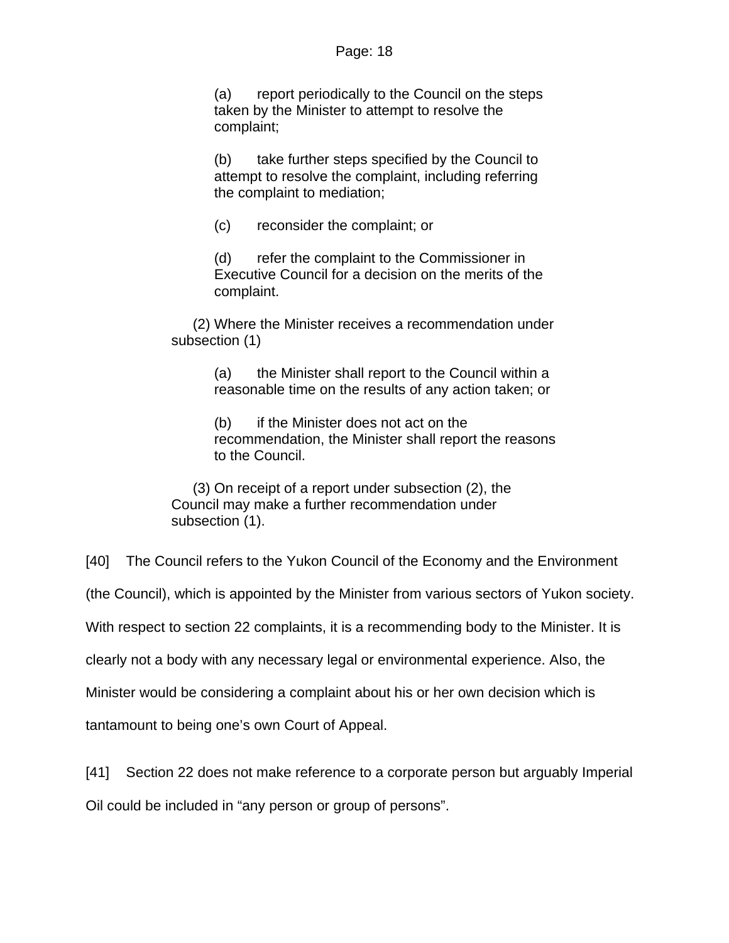(a) report periodically to the Council on the steps taken by the Minister to attempt to resolve the complaint;

(b) take further steps specified by the Council to attempt to resolve the complaint, including referring the complaint to mediation;

(c) reconsider the complaint; or

(d) refer the complaint to the Commissioner in Executive Council for a decision on the merits of the complaint.

(2) Where the Minister receives a recommendation under subsection (1)

> (a) the Minister shall report to the Council within a reasonable time on the results of any action taken; or

(b) if the Minister does not act on the recommendation, the Minister shall report the reasons to the Council.

(3) On receipt of a report under subsection (2), the Council may make a further recommendation under subsection (1).

[40] The Council refers to the Yukon Council of the Economy and the Environment

(the Council), which is appointed by the Minister from various sectors of Yukon society.

With respect to section 22 complaints, it is a recommending body to the Minister. It is

clearly not a body with any necessary legal or environmental experience. Also, the

Minister would be considering a complaint about his or her own decision which is

tantamount to being one's own Court of Appeal.

[41] Section 22 does not make reference to a corporate person but arguably Imperial

Oil could be included in "any person or group of persons".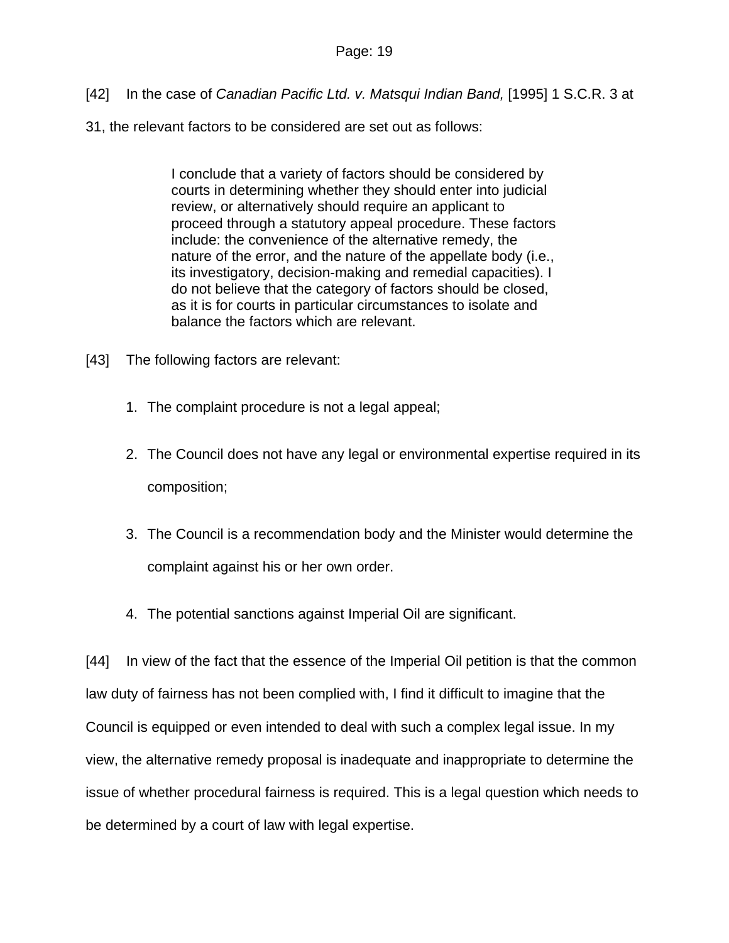- [42] In the case of *Canadian Pacific Ltd. v. Matsqui Indian Band,* [1995] 1 S.C.R. 3 at
- 31, the relevant factors to be considered are set out as follows:

I conclude that a variety of factors should be considered by courts in determining whether they should enter into judicial review, or alternatively should require an applicant to proceed through a statutory appeal procedure. These factors include: the convenience of the alternative remedy, the nature of the error, and the nature of the appellate body (i.e., its investigatory, decision-making and remedial capacities). I do not believe that the category of factors should be closed, as it is for courts in particular circumstances to isolate and balance the factors which are relevant.

- [43] The following factors are relevant:
	- 1. The complaint procedure is not a legal appeal;
	- 2. The Council does not have any legal or environmental expertise required in its composition;
	- 3. The Council is a recommendation body and the Minister would determine the complaint against his or her own order.
	- 4. The potential sanctions against Imperial Oil are significant.

[44] In view of the fact that the essence of the Imperial Oil petition is that the common law duty of fairness has not been complied with, I find it difficult to imagine that the Council is equipped or even intended to deal with such a complex legal issue. In my view, the alternative remedy proposal is inadequate and inappropriate to determine the issue of whether procedural fairness is required. This is a legal question which needs to be determined by a court of law with legal expertise.